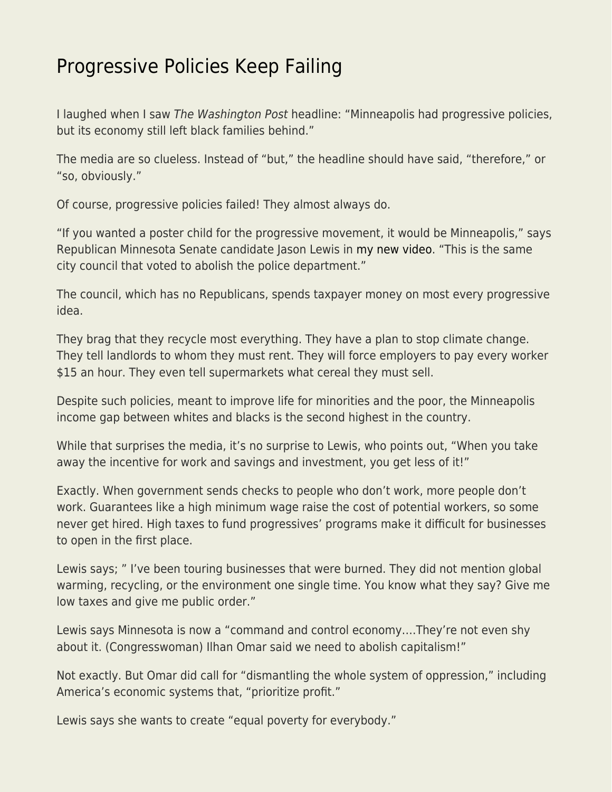## [Progressive Policies Keep Failing](https://everything-voluntary.com/progressive-policies-keep-failing)

I laughed when I saw The Washington Post headline: "Minneapolis had progressive policies, but its economy still left black families behind."

The media are so clueless. Instead of "but," the headline should have said, "therefore," or "so, obviously."

Of course, progressive policies failed! They almost always do.

"If you wanted a poster child for the progressive movement, it would be Minneapolis," says Republican Minnesota Senate candidate Jason Lewis in [my new video](https://www.youtube.com/watch?v=c1b6VtaIqwA). "This is the same city council that voted to abolish the police department."

The council, which has no Republicans, spends taxpayer money on most every progressive idea.

They brag that they recycle most everything. They have a plan to stop climate change. They tell landlords to whom they must rent. They will force employers to pay every worker \$15 an hour. They even tell supermarkets what cereal they must sell.

Despite such policies, meant to improve life for minorities and the poor, the Minneapolis income gap between whites and blacks is the second highest in the country.

While that surprises the media, it's no surprise to Lewis, who points out, "When you take away the incentive for work and savings and investment, you get less of it!"

Exactly. When government sends checks to people who don't work, more people don't work. Guarantees like a high minimum wage raise the cost of potential workers, so some never get hired. High taxes to fund progressives' programs make it difficult for businesses to open in the first place.

Lewis says; " I've been touring businesses that were burned. They did not mention global warming, recycling, or the environment one single time. You know what they say? Give me low taxes and give me public order."

Lewis says Minnesota is now a "command and control economy….They're not even shy about it. (Congresswoman) Ilhan Omar said we need to abolish capitalism!"

Not exactly. But Omar did call for "dismantling the whole system of oppression," including America's economic systems that, "prioritize profit."

Lewis says she wants to create "equal poverty for everybody."